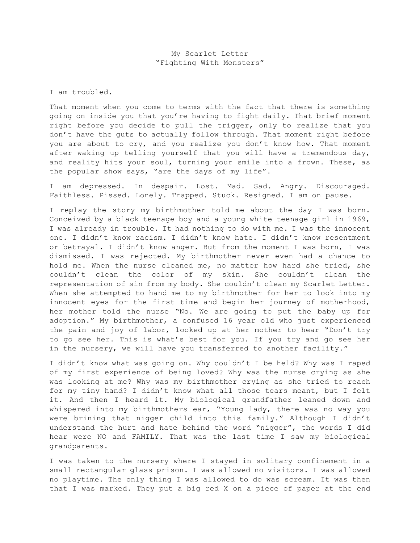I am troubled.

That moment when you come to terms with the fact that there is something going on inside you that you're having to fight daily. That brief moment right before you decide to pull the trigger, only to realize that you don't have the guts to actually follow through. That moment right before you are about to cry, and you realize you don't know how. That moment after waking up telling yourself that you will have a tremendous day, and reality hits your soul, turning your smile into a frown. These, as the popular show says, "are the days of my life".

I am depressed. In despair. Lost. Mad. Sad. Angry. Discouraged. Faithless. Pissed. Lonely. Trapped. Stuck. Resigned. I am on pause.

I replay the story my birthmother told me about the day I was born. Conceived by a black teenage boy and a young white teenage girl in 1969, I was already in trouble. It had nothing to do with me. I was the innocent one. I didn't know racism. I didn't know hate. I didn't know resentment or betrayal. I didn't know anger. But from the moment I was born, I was dismissed. I was rejected. My birthmother never even had a chance to hold me. When the nurse cleaned me, no matter how hard she tried, she couldn't clean the color of my skin. She couldn't clean the representation of sin from my body. She couldn't clean my Scarlet Letter. When she attempted to hand me to my birthmother for her to look into my innocent eyes for the first time and begin her journey of motherhood, her mother told the nurse "No. We are going to put the baby up for adoption." My birthmother, a confused 16 year old who just experienced the pain and joy of labor, looked up at her mother to hear "Don't try to go see her. This is what's best for you. If you try and go see her in the nursery, we will have you transferred to another facility."

I didn't know what was going on. Why couldn't I be held? Why was I raped of my first experience of being loved? Why was the nurse crying as she was looking at me? Why was my birthmother crying as she tried to reach for my tiny hand? I didn't know what all those tears meant, but I felt it. And then I heard it. My biological grandfather leaned down and whispered into my birthmothers ear, "Young lady, there was no way you were brining that nigger child into this family." Although I didn't understand the hurt and hate behind the word "nigger", the words I did hear were NO and FAMILY. That was the last time I saw my biological grandparents.

I was taken to the nursery where I stayed in solitary confinement in a small rectangular glass prison. I was allowed no visitors. I was allowed no playtime. The only thing I was allowed to do was scream. It was then that I was marked. They put a big red X on a piece of paper at the end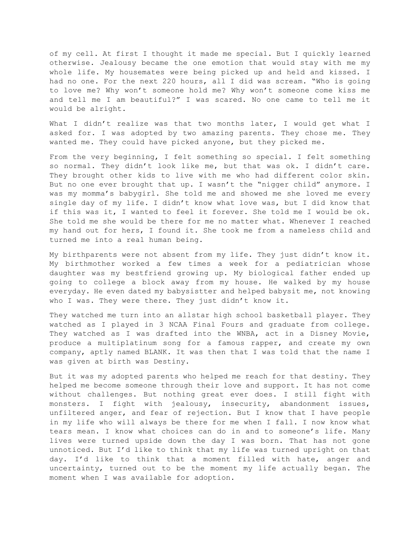of my cell. At first I thought it made me special. But I quickly learned otherwise. Jealousy became the one emotion that would stay with me my whole life. My housemates were being picked up and held and kissed. I had no one. For the next 220 hours, all I did was scream. "Who is going to love me? Why won't someone hold me? Why won't someone come kiss me and tell me I am beautiful?" I was scared. No one came to tell me it would be alright.

What I didn't realize was that two months later, I would get what I asked for. I was adopted by two amazing parents. They chose me. They wanted me. They could have picked anyone, but they picked me.

From the very beginning, I felt something so special. I felt something so normal. They didn't look like me, but that was ok. I didn't care. They brought other kids to live with me who had different color skin. But no one ever brought that up. I wasn't the "nigger child" anymore. I was my momma's babygirl. She told me and showed me she loved me every single day of my life. I didn't know what love was, but I did know that if this was it, I wanted to feel it forever. She told me I would be ok. She told me she would be there for me no matter what. Whenever I reached my hand out for hers, I found it. She took me from a nameless child and turned me into a real human being.

My birthparents were not absent from my life. They just didn't know it. My birthmother worked a few times a week for a pediatrician whose daughter was my bestfriend growing up. My biological father ended up going to college a block away from my house. He walked by my house everyday. He even dated my babysistter and helped babysit me, not knowing who I was. They were there. They just didn't know it.

They watched me turn into an allstar high school basketball player. They watched as I played in 3 NCAA Final Fours and graduate from college. They watched as I was drafted into the WNBA, act in a Disney Movie, produce a multiplatinum song for a famous rapper, and create my own company, aptly named BLANK. It was then that I was told that the name I was given at birth was Destiny.

But it was my adopted parents who helped me reach for that destiny. They helped me become someone through their love and support. It has not come without challenges. But nothing great ever does. I still fight with monsters. I fight with jealousy, insecurity, abandonment issues, unfiltered anger, and fear of rejection. But I know that I have people in my life who will always be there for me when I fall. I now know what tears mean. I know what choices can do in and to someone's life. Many lives were turned upside down the day I was born. That has not gone unnoticed. But I'd like to think that my life was turned upright on that day. I'd like to think that a moment filled with hate, anger and uncertainty, turned out to be the moment my life actually began. The moment when I was available for adoption.